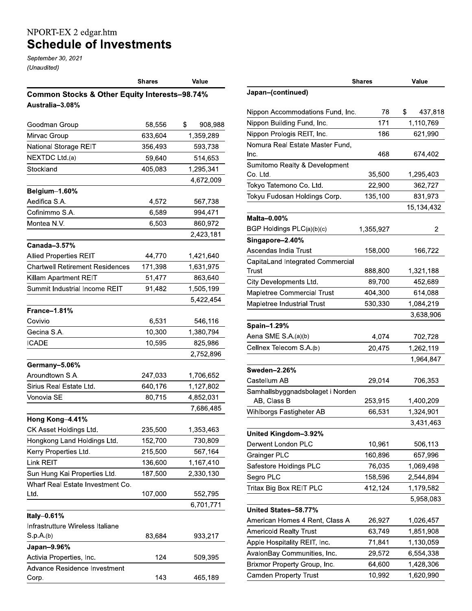## NPORT-EX 2 edgar.htm<br>Schedule of Investments

September 30, 2021 (Unaudited)

|                                                          | <b>Shares</b> | Value         |  |  |  |  |
|----------------------------------------------------------|---------------|---------------|--|--|--|--|
| <b>Common Stocks &amp; Other Equity Interests-98.74%</b> |               |               |  |  |  |  |
| Australia-3.08%                                          |               |               |  |  |  |  |
|                                                          |               |               |  |  |  |  |
| Goodman Group                                            | 58,556        | \$<br>908,988 |  |  |  |  |
| Mirvac Group                                             | 633,604       | 1,359,289     |  |  |  |  |
| National Storage REIT                                    | 356,493       | 593,738       |  |  |  |  |
| NEXTDC Ltd.(a)                                           | 59,640        | 514,653       |  |  |  |  |
| Stockland                                                | 405,083       | 1,295,341     |  |  |  |  |
|                                                          |               | 4,672,009     |  |  |  |  |
| Belgium-1.60%                                            |               |               |  |  |  |  |
| Aedifica S.A.                                            | 4,572         | 567,738       |  |  |  |  |
| Cofinimmo S.A.                                           | 6,589         | 994,471       |  |  |  |  |
| Montea N.V.                                              | 6,503         | 860,972       |  |  |  |  |
|                                                          |               | 2,423,181     |  |  |  |  |
| Canada-3.57%                                             |               |               |  |  |  |  |
| <b>Allied Properties REIT</b>                            | 44,770        | 1,421,640     |  |  |  |  |
| <b>Chartwell Retirement Residences</b>                   | 171,398       | 1,631,975     |  |  |  |  |
| Killam Apartment REIT                                    | 51,477        | 863,640       |  |  |  |  |
| Summit Industrial Income REIT                            | 91,482        | 1,505,199     |  |  |  |  |
|                                                          |               | 5,422,454     |  |  |  |  |
| <b>France-1.81%</b>                                      |               |               |  |  |  |  |
| Covivio                                                  | 6,531         | 546,116       |  |  |  |  |
| Gecina S.A.                                              | 10,300        | 1,380,794     |  |  |  |  |
| <b>ICADE</b>                                             | 10,595        | 825,986       |  |  |  |  |
|                                                          |               | 2,752,896     |  |  |  |  |
| Germany-5.06%                                            |               |               |  |  |  |  |
| Aroundtown S.A.                                          | 247,033       | 1,706,652     |  |  |  |  |
| Sirius Real Estate Ltd.                                  | 640,176       | 1,127,802     |  |  |  |  |
| Vonovia SE                                               | 80,715        | 4,852,031     |  |  |  |  |
|                                                          |               | 7,686,485     |  |  |  |  |
| Hong Kong-4.41%                                          |               |               |  |  |  |  |
| CK Asset Holdings Ltd.                                   | 235,500       | 1,353,463     |  |  |  |  |
| Hongkong Land Holdings Ltd.                              | 152,700       | 730,809       |  |  |  |  |
| Kerry Properties Ltd.                                    | 215,500       | 567,164       |  |  |  |  |
| Link REIT                                                | 136,600       | 1,167,410     |  |  |  |  |
| Sun Hung Kai Properties Ltd.                             | 187,500       | 2,330,130     |  |  |  |  |
| Wharf Real Estate Investment Co.                         |               |               |  |  |  |  |
| Ltd.                                                     | 107,000       | 552,795       |  |  |  |  |
|                                                          |               | 6,701,771     |  |  |  |  |
| Italy-0.61%                                              |               |               |  |  |  |  |
| Infrastrutture Wireless Italiane                         |               |               |  |  |  |  |
| S.p.A.(b)                                                | 83,684        | 933,217       |  |  |  |  |
| Japan-9.96%                                              |               |               |  |  |  |  |
| Activia Properties, Inc.                                 | 124           | 509,395       |  |  |  |  |
| Advance Residence Investment                             |               |               |  |  |  |  |
| Corp.                                                    | 143           | 465,189       |  |  |  |  |

|                                                 | Shares    | Value         |
|-------------------------------------------------|-----------|---------------|
| Japan-(continued)                               |           |               |
| Nippon Accommodations Fund, Inc.                | 78        | \$<br>437,818 |
| Nippon Building Fund, Inc.                      | 171       | 1,110,769     |
| Nippon Prologis REIT, Inc.                      | 186       | 621,990       |
| Nomura Real Estate Master Fund,<br>Inc.         | 468       | 674,402       |
| Sumitomo Realty & Development<br>Co. Ltd.       | 35,500    | 1,295,403     |
| Tokyo Tatemono Co. Ltd.                         | 22,900    | 362,727       |
| Tokyu Fudosan Holdings Corp.                    | 135,100   | 831,973       |
|                                                 |           | 15,134,432    |
| Malta-0.00%                                     |           |               |
| BGP Holdings PLC(a)(b)(c)                       | 1,355,927 | 2             |
| Singapore-2.40%                                 |           |               |
| Ascendas India Trust                            | 158,000   | 166,722       |
| CapitaLand Integrated Commercial                |           |               |
| Trust                                           | 888,800   | 1,321,188     |
| City Developments Ltd.                          | 89,700    | 452,689       |
| Mapletree Commercial Trust                      | 404,300   | 614,088       |
| Mapletree Industrial Trust                      | 530,330   | 1,084,219     |
|                                                 |           | 3,638,906     |
| Spain-1.29%                                     |           |               |
| Aena SME S.A.(a)(b)                             | 4,074     | 702,728       |
| Cellnex Telecom S.A.(b)                         | 20,475    | 1,262,119     |
|                                                 |           | 1,964,847     |
| <b>Sweden-2.26%</b>                             |           |               |
| Castellum AB                                    | 29,014    | 706,353       |
| Samhallsbyggnadsbolaget i Norden<br>AB, Class B | 253,915   | 1,400,209     |
| Wihlborgs Fastigheter AB                        | 66,531    | 1,324,901     |
|                                                 |           | 3,431,463     |
| United Kingdom-3.92%                            |           |               |
| Derwent London PLC                              | 10,961    | 506,113       |
| <b>Grainger PLC</b>                             | 160,896   | 657,996       |
| Safestore Holdings PLC                          | 76,035    | 1,069,498     |
| Segro PLC                                       | 158,596   | 2,544,894     |
| Tritax Big Box REIT PLC                         | 412,124   | 1,179,582     |
|                                                 |           | 5,958,083     |
| United States-58.77%                            |           |               |
| American Homes 4 Rent, Class A                  | 26,927    | 1,026,457     |
| <b>Americold Realty Trust</b>                   | 63,749    | 1,851,908     |
| Apple Hospitality REIT, Inc.                    | 71,841    | 1,130,059     |
| AvalonBay Communities, Inc.                     | 29,572    | 6,554,338     |
| Brixmor Property Group, Inc.                    | 64,600    | 1,428,306     |
| <b>Camden Property Trust</b>                    | 10,992    | 1,620,990     |
|                                                 |           |               |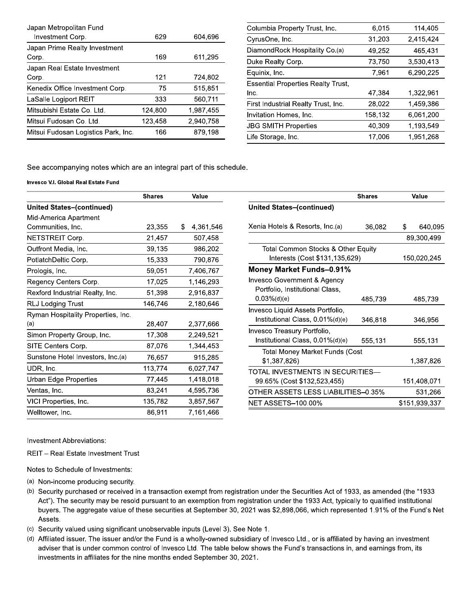| Japan Metropolitan Fund             |         |           |
|-------------------------------------|---------|-----------|
| Investment Corp.                    | 629     | 604,696   |
| Japan Prime Realty Investment       |         |           |
| Corp.                               | 169     | 611,295   |
| Japan Real Estate Investment        |         |           |
| Corp.                               | 121     | 724,802   |
| Kenedix Office Investment Corp.     | 75      | 515,851   |
| LaSalle Logiport REIT               | 333     | 560,711   |
| Mitsubishi Estate Co. Ltd.          | 124,800 | 1,987,455 |
| Mitsui Fudosan Co. Ltd.             | 123,458 | 2,940,758 |
| Mitsui Fudosan Logistics Park, Inc. | 166     | 879.198   |

| Columbia Property Trust, Inc.             | 6,015   | 114,405   |
|-------------------------------------------|---------|-----------|
| CyrusOne, Inc.                            | 31,203  | 2,415,424 |
| DiamondRock Hospitality Co.(a)            | 49,252  | 465,431   |
| Duke Realty Corp.                         | 73,750  | 3,530,413 |
| Equinix, Inc.                             | 7,961   | 6,290,225 |
| <b>Essential Properties Realty Trust.</b> |         |           |
| Inc.                                      | 47,384  | 1,322,961 |
| First Industrial Realty Trust, Inc.       | 28,022  | 1,459,386 |
| Invitation Homes, Inc.                    | 158,132 | 6,061,200 |
| <b>JBG SMITH Properties</b>               | 40.309  | 1.193.549 |
| Life Storage, Inc.                        | 17.006  | 1.951.268 |

See accompanying notes which are an integral part of this schedule.

Invesco V.I. Global Real Estate Fund

|                                    | <b>Shares</b> | Value           |                                                 | <b>Shares</b> |   | Value         |
|------------------------------------|---------------|-----------------|-------------------------------------------------|---------------|---|---------------|
| <b>United States-(continued)</b>   |               |                 | <b>United States-(continued)</b>                |               |   |               |
| Mid-America Apartment              |               |                 |                                                 |               |   |               |
| Communities, Inc.                  | 23,355        | 4,361,546<br>S. | Xenia Hotels & Resorts, Inc.(a)                 | 36,082        | S | 640,095       |
| NETSTREIT Corp.                    | 21,457        | 507,458         |                                                 |               |   | 89,300,499    |
| Outfront Media, Inc.               | 39,135        | 986,202         | Total Common Stocks & Other Equity              |               |   |               |
| PotlatchDeltic Corp.               | 15,333        | 790,876         | Interests (Cost \$131,135,629)                  |               |   | 150,020,245   |
| Prologis, Inc.                     | 59,051        | 7,406,767       | <b>Money Market Funds-0.91%</b>                 |               |   |               |
| Regency Centers Corp.              | 17,025        | 1,146,293       | <b>Invesco Government &amp; Agency</b>          |               |   |               |
| Rexford Industrial Realty, Inc.    | 51,398        | 2,916,837       | Portfolio, Institutional Class,                 |               |   |               |
| <b>RLJ Lodging Trust</b>           | 146,746       | 2,180,646       | $0.03\%$ (d)(e)                                 | 485,739       |   | 485,739       |
| Ryman Hospitality Properties, Inc. |               |                 | Invesco Liquid Assets Portfolio,                |               |   |               |
| (a)                                | 28,407        | 2,377,666       | Institutional Class, 0.01%(d)(e)                | 346,818       |   | 346,956       |
| Simon Property Group, Inc.         | 17,308        | 2,249,521       | Invesco Treasury Portfolio,                     |               |   |               |
| SITE Centers Corp.                 | 87,076        | 1,344,453       | Institutional Class, $0.01\%$ (d)(e)<br>555,131 |               |   | 555,131       |
| Sunstone Hotel Investors, Inc.(a)  | 76,657        | 915,285         | Total Money Market Funds (Cost<br>\$1,387,826)  |               |   | 1,387,826     |
| UDR, Inc.                          | 113,774       | 6,027,747       | TOTAL INVESTMENTS IN SECURITIES-                |               |   |               |
| <b>Urban Edge Properties</b>       | 77,445        | 1,418,018       | 99.65% (Cost \$132,523,455)                     |               |   | 151,408,071   |
| Ventas, Inc.                       | 83,241        | 4,595,736       | OTHER ASSETS LESS LIABILITIES-0.35%             |               |   | 531,266       |
| VICI Properties, Inc.              | 135,782       | 3,857,567       | <b>NET ASSETS-100.00%</b>                       |               |   | \$151,939,337 |
| Welltower, Inc.                    | 86,911        | 7,161,466       |                                                 |               |   |               |

Investment Abbreviations:

REIT - Real Estate Investment Trust

Notes to Schedule of Investments:

- (a) Non-income producing security.
- (b) Security purchased or received in a transaction exempt from registration under the Securities Act of 1933, as amended (the "1933 Act"). The security may be resold pursuant to an exemption from registration under the 1933 Act, typically to qualified institutional buyers. The aggregate value of these securities at September 30, 2021 was \$2,898,066, which represented 1.91% of the Fund's Net Assets.
- (c) Security valued using significant unobservable inputs (Level 3). See Note 1.
- (d) Affiliated issuer. The issuer and/or the Fund is a wholly-owned subsidiary of Invesco Ltd., or is affiliated by having an investment adviser that is under common control of Invesco Ltd. The table below shows the Fund's transactions in, and earnings from, its investments in affiliates for the nine months ended September 30, 2021.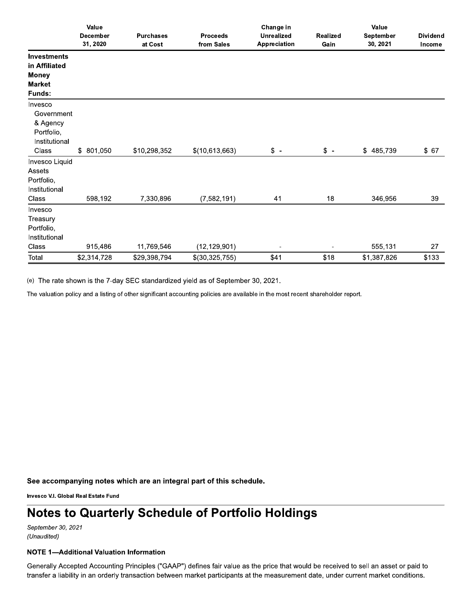|                    | Value           |                  |                 | Change in         |                 | Value       |                 |  |
|--------------------|-----------------|------------------|-----------------|-------------------|-----------------|-------------|-----------------|--|
|                    | <b>December</b> | <b>Purchases</b> | <b>Proceeds</b> | <b>Unrealized</b> | <b>Realized</b> | September   | <b>Dividend</b> |  |
|                    | 31, 2020        | at Cost          | from Sales      | Appreciation      | Gain            | 30, 2021    | Income          |  |
| <b>Investments</b> |                 |                  |                 |                   |                 |             |                 |  |
| in Affiliated      |                 |                  |                 |                   |                 |             |                 |  |
| <b>Money</b>       |                 |                  |                 |                   |                 |             |                 |  |
| <b>Market</b>      |                 |                  |                 |                   |                 |             |                 |  |
| Funds:             |                 |                  |                 |                   |                 |             |                 |  |
| Invesco            |                 |                  |                 |                   |                 |             |                 |  |
| Government         |                 |                  |                 |                   |                 |             |                 |  |
| & Agency           |                 |                  |                 |                   |                 |             |                 |  |
| Portfolio,         |                 |                  |                 |                   |                 |             |                 |  |
| Institutional      |                 |                  |                 |                   |                 |             |                 |  |
| Class              | \$ 801,050      | \$10,298,352     | \$(10,613,663)  | $\frac{1}{2}$ -   | $$ -$           | \$485,739   | \$67            |  |
| Invesco Liquid     |                 |                  |                 |                   |                 |             |                 |  |
| Assets             |                 |                  |                 |                   |                 |             |                 |  |
| Portfolio,         |                 |                  |                 |                   |                 |             |                 |  |
| Institutional      |                 |                  |                 |                   |                 |             |                 |  |
| Class              | 598,192         | 7,330,896        | (7, 582, 191)   | 41                | 18              | 346,956     | 39              |  |
| Invesco            |                 |                  |                 |                   |                 |             |                 |  |
| Treasury           |                 |                  |                 |                   |                 |             |                 |  |
| Portfolio,         |                 |                  |                 |                   |                 |             |                 |  |
| Institutional      |                 |                  |                 |                   |                 |             |                 |  |
| Class              | 915,486         | 11,769,546       | (12, 129, 901)  |                   |                 | 555,131     | 27              |  |
| Total              | \$2,314,728     | \$29,398,794     | \$(30,325,755)  | \$41              | \$18            | \$1,387,826 | \$133           |  |

(e) The rate shown is the 7-day SEC standardized yield as of September 30, 2021.

The valuation policy and a listing of other significant accounting policies are available in the most recent shareholder report.

See accompanying notes which are an integral part of this schedule.

Invesco V.I. Global Real Estate Fund

## **Notes to Quarterly Schedule of Portfolio Holdings**

September 30, 2021 (Unaudited)

## **NOTE 1-Additional Valuation Information**

Generally Accepted Accounting Principles ("GAAP") defines fair value as the price that would be received to sell an asset or paid to transfer a liability in an orderly transaction between market participants at the measurement date, under current market conditions.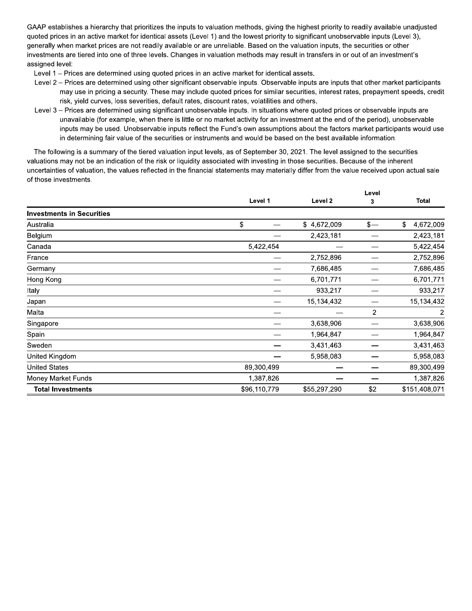GAAP establishes a hierarchy that prioritizes the inputs to valuation methods, giving the highest priority to readily available unadjusted quoted prices in an active market for identical assets (Level 1) and the lowest priority to significant unobservable inputs (Level 3), generally when market prices are not readily available or are unreliable. Based on the valuation inputs, the securities or other investments are tiered into one of three levels. Changes in valuation methods may result in transfers in or out of an investment's assigned level:

- Level 1 Prices are determined using quoted prices in an active market for identical assets.
- Level 2 Prices are determined using other significant observable inputs. Observable inputs are inputs that other market participants may use in pricing a security. These may include quoted prices for similar securities, interest rates, prepayment speeds, credit risk, yield curves, loss severities, default rates, discount rates, volatilities and others.
- Level 3 Prices are determined using significant unobservable inputs. In situations where quoted prices or observable inputs are unavailable (for example, when there is little or no market activity for an investment at the end of the period), unobservable inputs may be used. Unobservable inputs reflect the Fund's own assumptions about the factors market participants would use in determining fair value of the securities or instruments and would be based on the best available information.

The following is a summary of the tiered valuation input levels, as of September 30, 2021. The level assigned to the securities valuations may not be an indication of the risk or liquidity associated with investing in those securities. Because of the inherent uncertainties of valuation, the values reflected in the financial statements may materially differ from the value received upon actual sale of those investments.

> $\mathbf{r}$  $\sim$  10  $\mu$

|                                  |              |              | Level |                 |  |
|----------------------------------|--------------|--------------|-------|-----------------|--|
|                                  | Level 1      | Level 2      | 3     | Total           |  |
| <b>Investments in Securities</b> |              |              |       |                 |  |
| Australia                        | \$           | \$4,672,009  | $s-$  | \$<br>4,672,009 |  |
| Belgium                          |              | 2,423,181    |       | 2,423,181       |  |
| Canada                           | 5,422,454    |              |       | 5,422,454       |  |
| France                           |              | 2,752,896    |       | 2,752,896       |  |
| Germany                          |              | 7,686,485    |       | 7,686,485       |  |
| Hong Kong                        |              | 6,701,771    |       | 6,701,771       |  |
| Italy                            |              | 933,217      |       | 933,217         |  |
| Japan                            |              | 15,134,432   |       | 15,134,432      |  |
| Malta                            |              |              | 2     | 2               |  |
| Singapore                        |              | 3,638,906    |       | 3,638,906       |  |
| Spain                            |              | 1,964,847    |       | 1,964,847       |  |
| Sweden                           |              | 3,431,463    |       | 3,431,463       |  |
| United Kingdom                   |              | 5,958,083    |       | 5,958,083       |  |
| <b>United States</b>             | 89,300,499   |              |       | 89,300,499      |  |
| Money Market Funds               | 1,387,826    |              |       | 1,387,826       |  |
| <b>Total Investments</b>         | \$96,110,779 | \$55,297,290 | \$2   | \$151,408,071   |  |